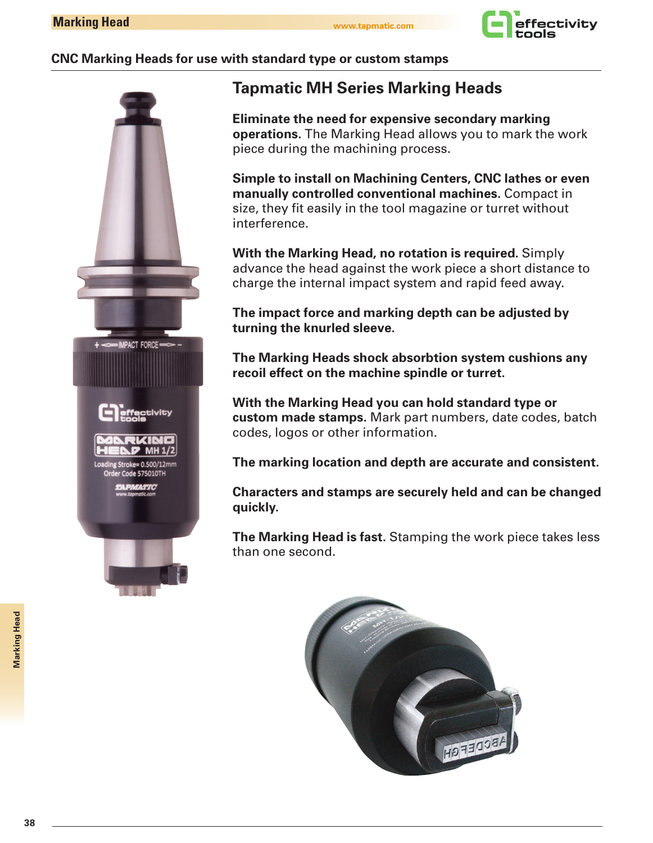

## **CNC Marking Heads for use with standard type or custom stamps**



# **Tapmatic MH Series Marking Heads**

**Eliminate the need for expensive secondary marking operations.** The Marking Head allows you to mark the work piece during the machining process.

**Simple to install on Machining Centers, CNC lathes or even manually controlled conventional machines.** Compact in size, they fit easily in the tool magazine or turret without interference.

**With the Marking Head, no rotation is required.** Simply advance the head against the work piece a short distance to charge the internal impact system and rapid feed away.

**The impact force and marking depth can be adjusted by turning the knurled sleeve.**

**The Marking Heads shock absorbtion system cushions any recoil effect on the machine spindle or turret.**

**With the Marking Head you can hold standard type or custom made stamps.** Mark part numbers, date codes, batch codes, logos or other information.

**The marking location and depth are accurate and consistent.**

**Characters and stamps are securely held and can be changed quickly.**

**The Marking Head is fast.** Stamping the work piece takes less than one second.